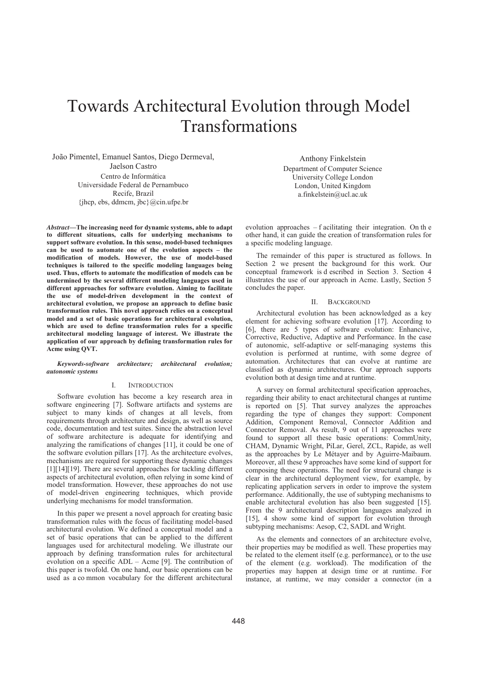# Towards Architectural Evolution through Model Transformations

João Pimentel, Emanuel Santos, Diego Dermeval, Jaelson Castro Centro de Informática Universidade Federal de Pernambuco Recife, Brazil  $\{jhep, ebs, ddmcm, jbc\}$ @cin.ufpe.br

*Abstract***—The increasing need for dynamic systems, able to adapt to different situations, calls for underlying mechanisms to support software evolution. In this sense, model-based techniques can be used to automate one of the evolution aspects – the modification of models. However, the use of model-based techniques is tailored to the specific modeling languages being used. Thus, efforts to automate the modification of models can be undermined by the several different modeling languages used in different approaches for software evolution. Aiming to facilitate the use of model-driven development in the context of architectural evolution, we propose an approach to define basic transformation rules. This novel approach relies on a conceptual model and a set of basic operations for architectural evolution, which are used to define transformation rules for a specific architectural modeling language of interest. We illustrate the application of our approach by defining transformation rules for Acme using QVT.** 

## *Keywords-software architecture; architectural evolution; autonomic systems*

## I. INTRODUCTION

Software evolution has become a key research area in software engineering [7]. Software artifacts and systems are subject to many kinds of changes at all levels, from requirements through architecture and design, as well as source code, documentation and test suites. Since the abstraction level of software architecture is adequate for identifying and analyzing the ramifications of changes  $[11]$ , it could be one of the software evolution pillars [17]. As the architecture evolves, mechanisms are required for supporting these dynamic changes [1][14][19]. There are several approaches for tackling different aspects of architectural evolution, often relying in some kind of model transformation. However, these approaches do not use of model-driven engineering techniques, which provide underlying mechanisms for model transformation.

In this paper we present a novel approach for creating basic transformation rules with the focus of facilitating model-based architectural evolution. We defined a conceptual model and a set of basic operations that can be applied to the different languages used for architectural modeling. We illustrate our approach by defining transformation rules for architectural evolution on a specific  $ADL - A$ cme [9]. The contribution of this paper is twofold. On one hand, our basic operations can be used as a common vocabulary for the different architectural

Anthony Finkelstein Department of Computer Science University College London London, United Kingdom a.finkelstein@ucl.ac.uk

evolution approaches  $-$  f acilitating their integration. On the other hand, it can guide the creation of transformation rules for a specific modeling language.

The remainder of this paper is structured as follows. In Section 2 we present the background for this work. Our conceptual framework is d escribed in Section 3. Section 4 illustrates the use of our approach in Acme. Lastly, Section 5 concludes the paper.

# II. BACKGROUND

Architectural evolution has been acknowledged as a key element for achieving software evolution [17]. According to  $[6]$ , there are 5 types of software evolution: Enhancive, Corrective, Reductive, Adaptive and Performance. In the case of autonomic, self-adaptive or self-managing systems this evolution is performed at runtime, with some degree of automation. Architectures that can evolve at runtime are classified as dynamic architectures. Our approach supports evolution both at design time and at runtime.

A survey on formal architectural specification approaches, regarding their ability to enact architectural changes at runtime is reported on [5]. That survey analyzes the approaches regarding the type of changes they support: Component Addition, Component Removal, Connector Addition and Connector Removal. As result, 9 out of 11 approaches were found to support all these basic operations: CommUnity, CHAM, Dynamic Wright, PiLar, Gerel, ZCL, Rapide, as well as the approaches by Le Métayer and by Aguirre-Maibaum. Moreover, all these 9 approaches have some kind of support for composing these operations. The need for structural change is clear in the architectural deployment view, for example, by replicating application servers in order to improve the system performance. Additionally, the use of subtyping mechanisms to enable architectural evolution has also been suggested [15]. From the 9 architectural description languages analyzed in [15], 4 show some kind of support for evolution through subtyping mechanisms: Aesop,  $C2$ , SADL and Wright.

As the elements and connectors of an architecture evolve, their properties may be modified as well. These properties may be related to the element itself (e.g. performance), or to the use of the element (e.g. workload). The modification of the properties may happen at design time or at runtime. For instance, at runtime, we may consider a connector (in a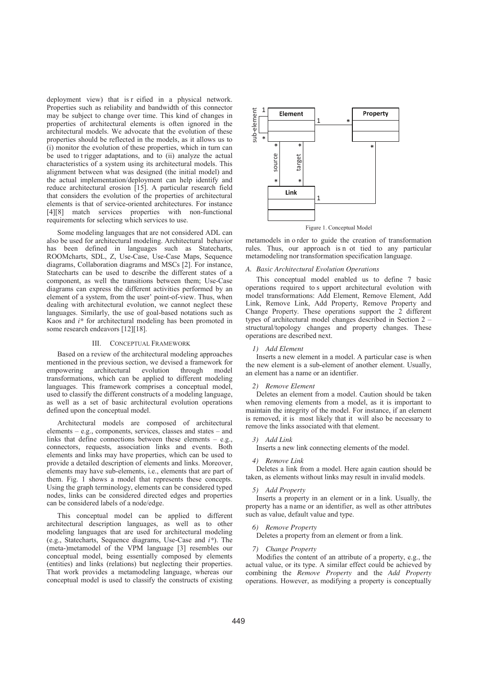deployment view) that is r eified in a physical network. Properties such as reliability and bandwidth of this connector may be subject to change over time. This kind of changes in properties of architectural elements is often ignored in the architectural models. We advocate that the evolution of these properties should be reflected in the models, as it allows us to (i) monitor the evolution of these properties, which in turn can be used to trigger adaptations, and to (ii) analyze the actual characteristics of a system using its architectural models. This alignment between what was designed (the initial model) and the actual implementation/deployment can help identify and reduce architectural erosion [15]. A particular research field that considers the evolution of the properties of architectural elements is that of service-oriented architectures. For instance [4][8] match services properties with non-functional requirements for selecting which services to use.

Some modeling languages that are not considered ADL can also be used for architectural modeling. Architectural behavior has been defined in languages such as Statecharts, ROOMcharts, SDL, Z, Use-Case, Use-Case Maps, Sequence diagrams, Collaboration diagrams and MSCs [2]. For instance, Statecharts can be used to describe the different states of a component, as well the transitions between them; Use-Case diagrams can express the different activities performed by an element of a system, from the user' point-of-view. Thus, when dealing with architectural evolution, we cannot neglect these languages. Similarly, the use of goal-based notations such as Kaos and  $i^*$  for architectural modeling has been promoted in some research endeavors [12][18].

#### **III. CONCEPTUAL FRAMEWORK**

Based on a review of the architectural modeling approaches mentioned in the previous section, we devised a framework for architectural evolution empowering through model transformations, which can be applied to different modeling languages. This framework comprises a conceptual model, used to classify the different constructs of a modeling language. as well as a set of basic architectural evolution operations defined upon the conceptual model.

Architectural models are composed of architectural elements - e.g., components, services, classes and states - and links that define connections between these elements  $-$  e.g., connectors, requests, association links and events. Both elements and links may have properties, which can be used to provide a detailed description of elements and links. Moreover, elements may have sub-elements, i.e., elements that are part of them. Fig. 1 shows a model that represents these concepts. Using the graph terminology, elements can be considered typed nodes, links can be considered directed edges and properties can be considered labels of a node/edge.

This conceptual model can be applied to different architectural description languages, as well as to other modeling languages that are used for architectural modeling (e.g., Statecharts, Sequence diagrams, Use-Case and  $i^*$ ). The (meta-)metamodel of the VPM language [3] resembles our conceptual model, being essentially composed by elements (entities) and links (relations) but neglecting their properties. That work provides a metamodeling language, whereas our conceptual model is used to classify the constructs of existing



metamodels in order to guide the creation of transformation rules. Thus, our approach is n ot tied to any particular metamodeling nor transformation specification language.

#### A. Basic Architectural Evolution Operations

This conceptual model enabled us to define 7 basic operations required to s upport architectural evolution with model transformations: Add Element, Remove Element, Add Link, Remove Link, Add Property, Remove Property and Change Property. These operations support the 2 different types of architectural model changes described in Section  $2$ structural/topology changes and property changes. These operations are described next.

# 1) Add Element

Inserts a new element in a model. A particular case is when the new element is a sub-element of another element. Usually, an element has a name or an identifier.

#### 2) Remove Element

Deletes an element from a model. Caution should be taken when removing elements from a model, as it is important to maintain the integrity of the model. For instance, if an element is removed, it is most likely that it will also be necessary to remove the links associated with that element.

#### $3)$  Add Link

Inserts a new link connecting elements of the model.

#### 4) Remove Link

Deletes a link from a model. Here again caution should be taken, as elements without links may result in invalid models.

#### 5) Add Property

Inserts a property in an element or in a link. Usually, the property has a name or an identifier, as well as other attributes such as value, default value and type.

#### 6) Remove Property

Deletes a property from an element or from a link.

## 7) Change Property

Modifies the content of an attribute of a property, e.g., the actual value, or its type. A similar effect could be achieved by combining the Remove Property and the Add Property operations. However, as modifying a property is conceptually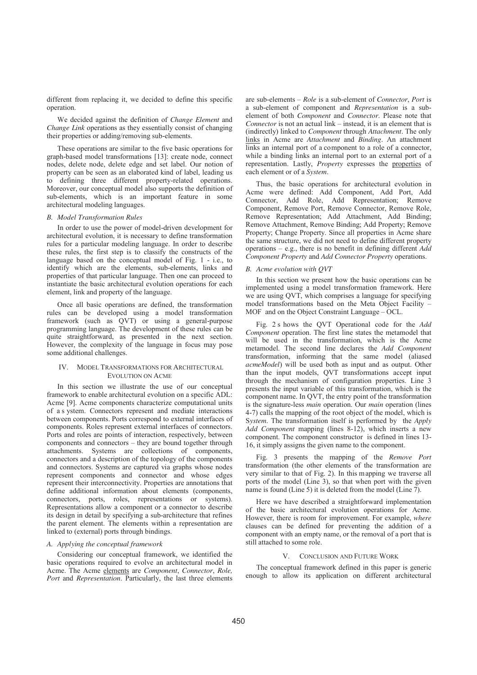different from replacing it, we decided to define this specific operation.

We decided against the definition of *Change Element* and *Change Link* operations as they essentially consist of changing their properties or adding/removing sub-elements.

These operations are similar to the five basic operations for graph-based model transformations [13]: create node, connect nodes, delete node, delete edge and set label. Our notion of property can be seen as an elaborated kind of label, leading us to defining three different property-related operations. Moreover, our conceptual model also supports the definition of sub-elements, which is an important feature in some architectural modeling languages.

#### *B. Model Transformation Rules*

In order to use the power of model-driven development for architectural evolution, it is necessary to define transformation rules for a particular modeling language. In order to describe these rules, the first step is to classify the constructs of the language based on the conceptual model of Fig.  $1 - i.e.,$  to identify which are the elements, sub-elements, links and properties of that particular language. Then one can proceed to instantiate the basic architectural evolution operations for each element, link and property of the language.

Once all basic operations are defined, the transformation rules can be developed using a model transformation framework (such as QVT) or using a general-purpose programming language. The development of these rules can be quite straightforward, as presented in the next section. However, the complexity of the language in focus may pose some additional challenges.

# IV. MODEL TRANSFORMATIONS FOR ARCHITECTURAL EVOLUTION ON ACME

In this section we illustrate the use of our conceptual framework to enable architectural evolution on a specific ADL: Acme [9]. Acme components characterize computational units of a s ystem. Connectors represent and mediate interactions between components. Ports correspond to external interfaces of components. Roles represent external interfaces of connectors. Ports and roles are points of interaction, respectively, between components and connectors  $-$  they are bound together through attachments. Systems are collections of components, connectors and a description of the topology of the components and connectors. Systems are captured via graphs whose nodes represent components and connector and whose edges represent their interconnectivity. Properties are annotations that define additional information about elements (components, connectors, ports, roles, representations or systems). Representations allow a component or a connector to describe its design in detail by specifying a sub-architecture that refines the parent element. The elements within a representation are linked to (external) ports through bindings.

### *A. Applying the conceptual framework*

Considering our conceptual framework, we identified the basic operations required to evolve an architectural model in Acme. The Acme elements are *Component*, *Connector*, *Role, Port* and *Representation*. Particularly, the last three elements are sub-elements – *Role* is a sub-element of *Connector*. Port is a sub-element of component and *Representation* is a subelement of both *Component* and *Connector*. Please note that *Connector* is not an actual link – instead, it is an element that is (indirectly) linked to *Component* through Attachment. The only links in Acme are *Attachment* and *Binding*. An attachment links an internal port of a component to a role of a connector, while a binding links an internal port to an external port of a representation. Lastly, *Property* expresses the properties of each element or of a System.

Thus, the basic operations for architectural evolution in Acme were defined: Add Component, Add Port, Add Connector, Add Role, Add Representation: Remove Component, Remove Port, Remove Connector, Remove Role, Remove Representation; Add Attachment, Add Binding; Remove Attachment, Remove Binding; Add Property; Remove Property; Change Property. Since all properties in Acme share the same structure, we did not need to define different property operations  $-$  e.g., there is no benefit in defining different  $Add$ *Component Property* and *Add Connector Property* operations.

#### *B. Acme evolution with QVT*

In this section we present how the basic operations can be implemented using a model transformation framework. Here we are using QVT, which comprises a language for specifying model transformations based on the Meta Object Facility -MOF and on the Object Constraint Language  $-$  OCL.

Fig. 2 s hows the QVT Operational code for the Add *Component* operation. The first line states the metamodel that will be used in the transformation, which is the Acme metamodel. The second line declares the *Add Component* transformation, informing that the same model (aliased *acmeModel*) will be used both as input and as output. Other than the input models, QVT transformations accept input through the mechanism of configuration properties. Line 3 presents the input variable of this transformation, which is the component name. In QVT, the entry point of the transformation is the signature-less *main* operation. Our *main* operation (lines 4-7) calls the mapping of the root object of the model, which is System. The transformation itself is performed by the *Apply* Add Component mapping (lines 8-12), which inserts a new component. The component constructor is defined in lines 13-16, it simply assigns the given name to the component.

Fig. 3 presents the mapping of the *Remove Port* transformation (the other elements of the transformation are very similar to that of Fig. 2). In this mapping we traverse all ports of the model (Line  $\overline{3}$ ), so that when port with the given name is found (Line 5) it is deleted from the model (Line 7).

Here we have described a straightforward implementation of the basic architectural evolution operations for Acme. However, there is room for improvement. For example, where clauses can be defined for preventing the addition of a component with an empty name, or the removal of a port that is still attached to some role.

## V. CONCLUSION AND FUTURE WORK

The conceptual framework defined in this paper is generic enough to allow its application on different architectural